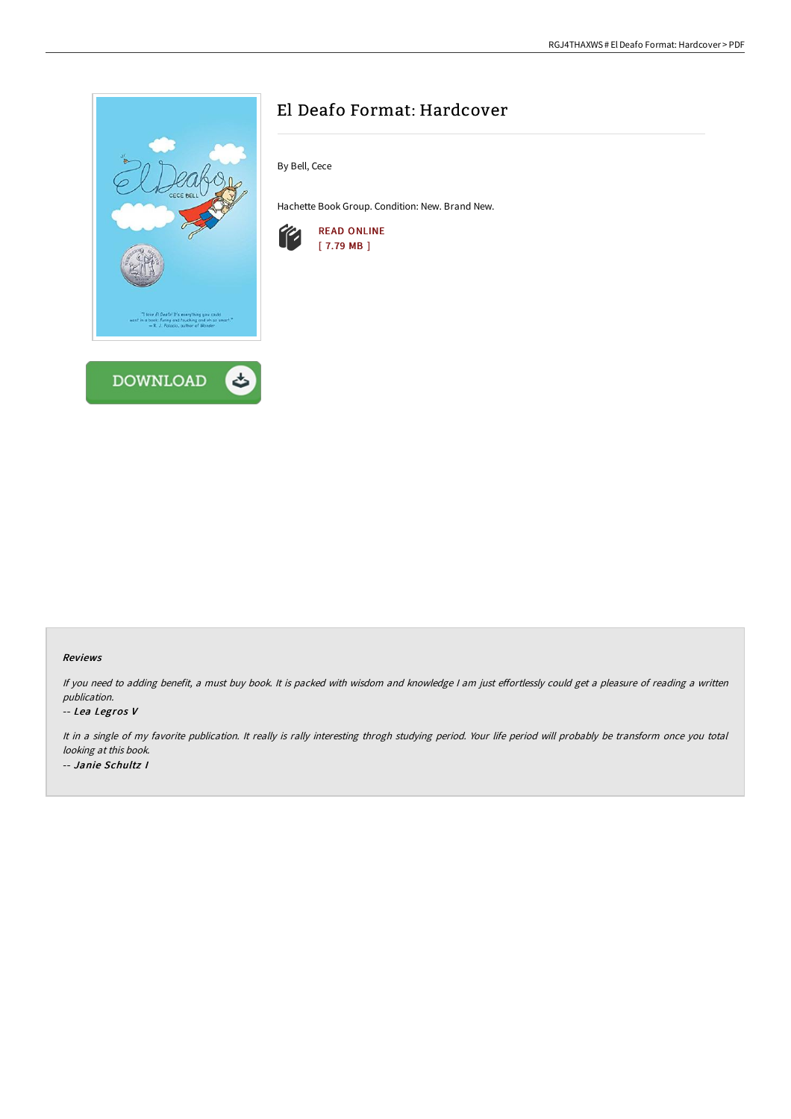

# El Deafo Format: Hardcover

By Bell, Cece

Hachette Book Group. Condition: New. Brand New.



### Reviews

If you need to adding benefit, a must buy book. It is packed with wisdom and knowledge I am just effortlessly could get a pleasure of reading a written publication.

#### -- Lea Legros V

It in <sup>a</sup> single of my favorite publication. It really is rally interesting throgh studying period. Your life period will probably be transform once you total looking at this book. -- Janie Schultz I